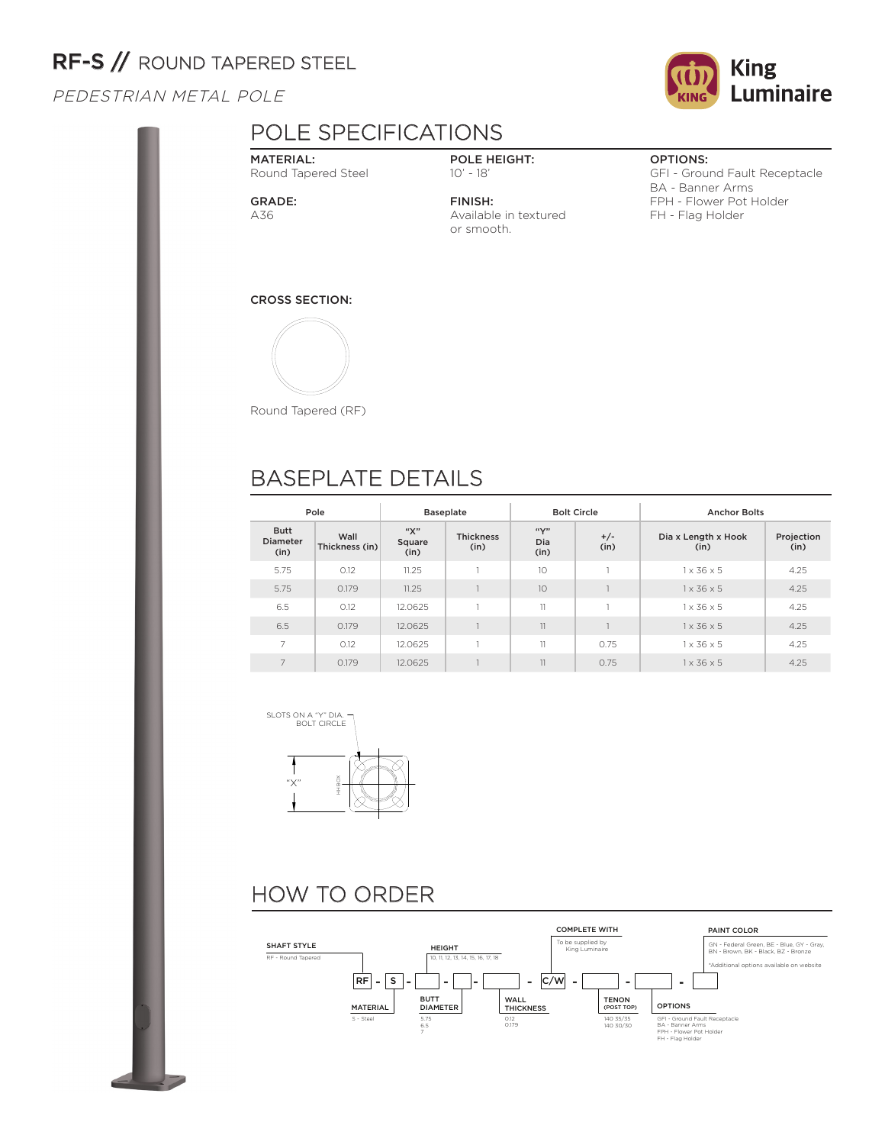# RF-S // ROUND TAPERED STEEL

PEDESTRIAN METAL POLE

## POLE SPECIFICATIONS

MATERIAL: Round Tapered Steel

GRADE: A36

POLE HEIGHT: 10' - 18'

FINISH: Available in textured or smooth.

### OPTIONS:

GFI - Ground Fault Receptacle BA - Banner Arms FPH - Flower Pot Holder FH - Flag Holder

CROSS SECTION:



Round Tapered (RF)

## BASEPLATE DETAILS

| Pole                                   |                        |                       | <b>Baseplate</b>         | <b>Bolt Circle</b>       |               | <b>Anchor Bolts</b>         |                    |  |
|----------------------------------------|------------------------|-----------------------|--------------------------|--------------------------|---------------|-----------------------------|--------------------|--|
| <b>Butt</b><br><b>Diameter</b><br>(in) | Wall<br>Thickness (in) | "Х"<br>Square<br>(in) | <b>Thickness</b><br>(in) | $``\vee"$<br>Dia<br>(in) | $+/-$<br>(in) | Dia x Length x Hook<br>(in) | Projection<br>(in) |  |
| 5.75                                   | 0.12                   | 11.25                 |                          | 10                       |               | $1 \times 36 \times 5$      | 4.25               |  |
| 5.75                                   | 0.179                  | 11.25                 |                          | 10                       |               | $1 \times 36 \times 5$      | 4.25               |  |
| 6.5                                    | 0.12                   | 12.0625               |                          | 11                       |               | $1 \times 36 \times 5$      | 4.25               |  |
| 6.5                                    | 0.179                  | 12.0625               |                          | 11                       |               | $1 \times 36 \times 5$      | 4.25               |  |
| 7                                      | 0.12                   | 12.0625               |                          | 11                       | 0.75          | $1 \times 36 \times 5$      | 4.25               |  |
| 7                                      | 0.179                  | 12.0625               |                          | 11                       | 0.75          | $1 \times 36 \times 5$      | 4.25               |  |



# HOW TO ORDER



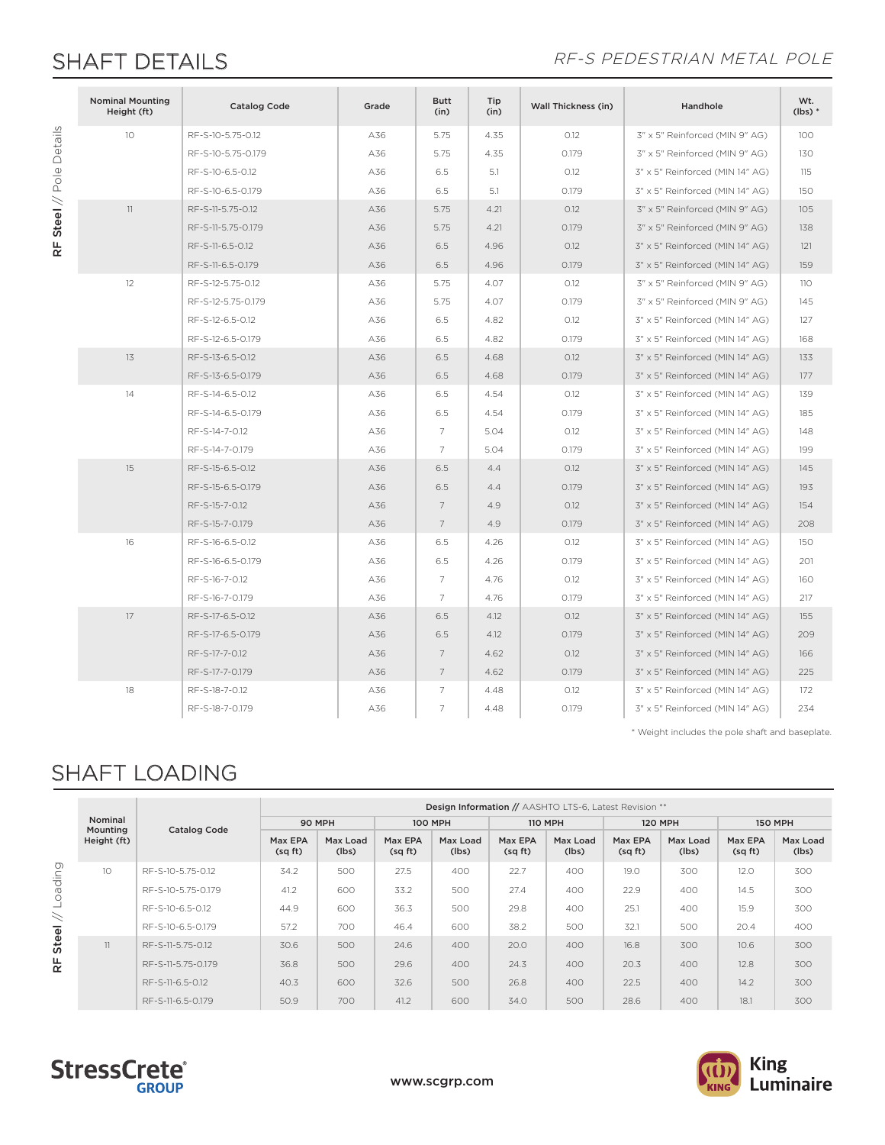RF Steel // Pole Details

RF Steel // Pole Details

### SHAFT DETAILS **SHAFT DETAILS**

| <b>Nominal Mounting</b><br>Height (ft) | <b>Catalog Code</b> | Grade | <b>Butt</b><br>(in) | Tip<br>(in) | <b>Wall Thickness (in)</b> | Handhole                        | Wt.<br>$(lbs)*$ |
|----------------------------------------|---------------------|-------|---------------------|-------------|----------------------------|---------------------------------|-----------------|
| 10                                     | RF-S-10-5.75-0.12   | A36   | 5.75                | 4.35        | 0.12                       | 3" x 5" Reinforced (MIN 9" AG)  | 100             |
|                                        | RF-S-10-5.75-0.179  | A36   | 5.75                | 4.35        | 0.179                      | 3" x 5" Reinforced (MIN 9" AG)  | 130             |
|                                        | RF-S-10-6.5-0.12    | A36   | 6.5                 | 5.1         | O.12                       | 3" x 5" Reinforced (MIN 14" AG) | 115             |
|                                        | RF-S-10-6.5-0.179   | A36   | 6.5                 | 5.1         | 0.179                      | 3" x 5" Reinforced (MIN 14" AG) | 150             |
| 11                                     | RF-S-11-5.75-0.12   | A36   | 5.75                | 4.21        | O.12                       | 3" x 5" Reinforced (MIN 9" AG)  | 105             |
|                                        | RF-S-11-5.75-0.179  | A36   | 5.75                | 4.21        | 0.179                      | 3" x 5" Reinforced (MIN 9" AG)  | 138             |
|                                        | RF-S-11-6.5-0.12    | A36   | 6.5                 | 4.96        | O.12                       | 3" x 5" Reinforced (MIN 14" AG) | 121             |
|                                        | RF-S-11-6.5-0.179   | A36   | 6.5                 | 4.96        | 0.179                      | 3" x 5" Reinforced (MIN 14" AG) | 159             |
| 12                                     | RF-S-12-5.75-0.12   | A36   | 5.75                | 4.07        | O.12                       | 3" x 5" Reinforced (MIN 9" AG)  | 110             |
|                                        | RF-S-12-5.75-0.179  | A36   | 5.75                | 4.07        | 0.179                      | 3" x 5" Reinforced (MIN 9" AG)  | 145             |
|                                        | RF-S-12-6.5-0.12    | A36   | 6.5                 | 4.82        | 0.12                       | 3" x 5" Reinforced (MIN 14" AG) | 127             |
|                                        | RF-S-12-6.5-0.179   | A36   | 6.5                 | 4.82        | 0.179                      | 3" x 5" Reinforced (MIN 14" AG) | 168             |
| 13                                     | RF-S-13-6.5-0.12    | A36   | 6.5                 | 4.68        | O.12                       | 3" x 5" Reinforced (MIN 14" AG) | 133             |
|                                        | RF-S-13-6.5-0.179   | A36   | 6.5                 | 4.68        | 0.179                      | 3" x 5" Reinforced (MIN 14" AG) | 177             |
| 14                                     | RF-S-14-6.5-0.12    | A36   | 6.5                 | 4.54        | 0.12                       | 3" x 5" Reinforced (MIN 14" AG) | 139             |
|                                        | RF-S-14-6.5-0.179   | A36   | 6.5                 | 4.54        | 0.179                      | 3" x 5" Reinforced (MIN 14" AG) | 185             |
|                                        | RF-S-14-7-0.12      | A36   | $\overline{7}$      | 5.04        | O.12                       | 3" x 5" Reinforced (MIN 14" AG) | 148             |
|                                        | RF-S-14-7-0.179     | A36   | $\overline{7}$      | 5.04        | 0.179                      | 3" x 5" Reinforced (MIN 14" AG) | 199             |
| 15                                     | RF-S-15-6.5-0.12    | A36   | 6.5                 | 4.4         | O.12                       | 3" x 5" Reinforced (MIN 14" AG) | 145             |
|                                        | RF-S-15-6.5-0.179   | A36   | 6.5                 | 4.4         | 0.179                      | 3" x 5" Reinforced (MIN 14" AG) | 193             |
|                                        | RF-S-15-7-0.12      | A36   | $\overline{7}$      | 4.9         | O.12                       | 3" x 5" Reinforced (MIN 14" AG) | 154             |
|                                        | RF-S-15-7-0.179     | A36   | $\overline{7}$      | 4.9         | 0.179                      | 3" x 5" Reinforced (MIN 14" AG) | 208             |
| 16                                     | RF-S-16-6.5-0.12    | A36   | 6.5                 | 4.26        | O.12                       | 3" x 5" Reinforced (MIN 14" AG) | 150             |
|                                        | RF-S-16-6.5-0.179   | A36   | 6.5                 | 4.26        | 0.179                      | 3" x 5" Reinforced (MIN 14" AG) | 201             |
|                                        | RF-S-16-7-0.12      | A36   | $\overline{7}$      | 4.76        | O.12                       | 3" x 5" Reinforced (MIN 14" AG) | 160             |
|                                        | RF-S-16-7-0.179     | A36   | $\overline{7}$      | 4.76        | 0.179                      | 3" x 5" Reinforced (MIN 14" AG) | 217             |
| 17                                     | RF-S-17-6.5-0.12    | A36   | 6.5                 | 4.12        | O.12                       | 3" x 5" Reinforced (MIN 14" AG) | 155             |
|                                        | RF-S-17-6.5-0.179   | A36   | 6.5                 | 4.12        | 0.179                      | 3" x 5" Reinforced (MIN 14" AG) | 209             |
|                                        | RF-S-17-7-0.12      | A36   | $\overline{7}$      | 4.62        | O.12                       | 3" x 5" Reinforced (MIN 14" AG) | 166             |
|                                        | RF-S-17-7-0.179     | A36   | $\overline{7}$      | 4.62        | 0.179                      | 3" x 5" Reinforced (MIN 14" AG) | 225             |
| 18                                     | RF-S-18-7-0.12      | A36   | $\overline{7}$      | 4.48        | O.12                       | 3" x 5" Reinforced (MIN 14" AG) | 172             |
|                                        | RF-S-18-7-0.179     | A36   | 7                   | 4.48        | 0.179                      | 3" x 5" Reinforced (MIN 14" AG) | 234             |

\* Weight includes the pole shaft and baseplate.

# SHAFT LOADING

|              |                     |                     | Design Information // AASHTO LTS-6, Latest Revision ** |                   |                   |                   |                   |                   |                   |                   |                   |                   |  |
|--------------|---------------------|---------------------|--------------------------------------------------------|-------------------|-------------------|-------------------|-------------------|-------------------|-------------------|-------------------|-------------------|-------------------|--|
|              | Nominal<br>Mounting | <b>Catalog Code</b> | 90 MPH                                                 |                   | <b>100 MPH</b>    |                   | <b>110 MPH</b>    |                   | <b>120 MPH</b>    |                   | <b>150 MPH</b>    |                   |  |
|              | Height (ft)         |                     | Max EPA<br>(sqft)                                      | Max Load<br>(lbs) | Max EPA<br>(sqft) | Max Load<br>(lbs) | Max EPA<br>(sqft) | Max Load<br>(lbs) | Max EPA<br>(sqft) | Max Load<br>(lbs) | Max EPA<br>(sqft) | Max Load<br>(lbs) |  |
|              | 10                  | RF-S-10-5.75-0.12   | 34.2                                                   | 500               | 27.5              | 400               | 22.7              | 400               | 19.0              | 300               | 12.0              | 300               |  |
| puipeo.      |                     | RF-S-10-5.75-0.179  | 41.2                                                   | 600               | 33.2              | 500               | 27.4              | 400               | 22.9              | 400               | 14.5              | 300               |  |
|              |                     | RF-S-10-6.5-0.12    | 44.9                                                   | 600               | 36.3              | 500               | 29.8              | 400               | 25.1              | 400               | 15.9              | 300               |  |
|              |                     | RF-S-10-6.5-0.179   | 57.2                                                   | 700               | 46.4              | 600               | 38.2              | 500               | 32.1              | 500               | 20.4              | 400               |  |
| <b>Steel</b> | 11                  | RF-S-11-5.75-0.12   | 30.6                                                   | 500               | 24.6              | 400               | 20.0              | 400               | 16.8              | 300               | 10.6              | 300               |  |
| 녽            |                     | RF-S-11-5.75-0.179  | 36.8                                                   | 500               | 29.6              | 400               | 24.3              | 400               | 20.3              | 400               | 12.8              | 300               |  |
|              |                     | RF-S-11-6.5-0.12    | 40.3                                                   | 600               | 32.6              | 500               | 26.8              | 400               | 22.5              | 400               | 14.2              | 300               |  |
|              |                     | RF-S-11-6.5-0.179   | 50.9                                                   | 700               | 41.2              | 600               | 34.0              | 500               | 28.6              | 400               | 18.1              | 300               |  |